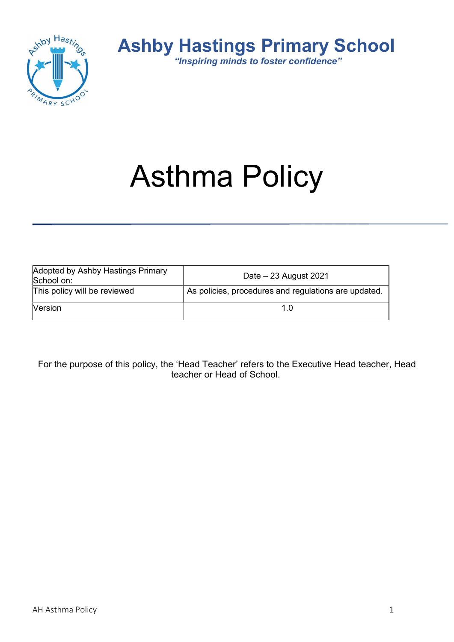



# Asthma Policy

| Adopted by Ashby Hastings Primary<br>School on: | Date $-23$ August 2021                               |  |
|-------------------------------------------------|------------------------------------------------------|--|
| This policy will be reviewed                    | As policies, procedures and regulations are updated. |  |
| Version                                         |                                                      |  |

For the purpose of this policy, the 'Head Teacher' refers to the Executive Head teacher, Head teacher or Head of School.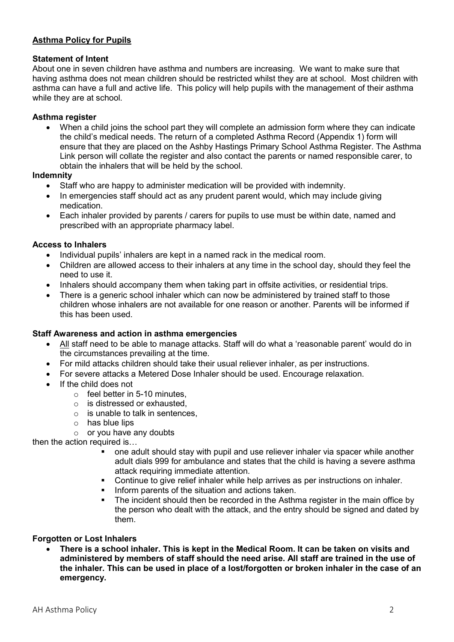# Asthma Policy for Pupils

### Statement of Intent

About one in seven children have asthma and numbers are increasing. We want to make sure that having asthma does not mean children should be restricted whilst they are at school. Most children with asthma can have a full and active life. This policy will help pupils with the management of their asthma while they are at school.

# Asthma register

 When a child joins the school part they will complete an admission form where they can indicate the child's medical needs. The return of a completed Asthma Record (Appendix 1) form will ensure that they are placed on the Ashby Hastings Primary School Asthma Register. The Asthma Link person will collate the register and also contact the parents or named responsible carer, to obtain the inhalers that will be held by the school.

# Indemnity

- Staff who are happy to administer medication will be provided with indemnity.
- In emergencies staff should act as any prudent parent would, which may include giving medication.
- Each inhaler provided by parents / carers for pupils to use must be within date, named and prescribed with an appropriate pharmacy label.

#### Access to Inhalers

- Individual pupils' inhalers are kept in a named rack in the medical room.
- Children are allowed access to their inhalers at any time in the school day, should they feel the need to use it.
- Inhalers should accompany them when taking part in offsite activities, or residential trips.
- There is a generic school inhaler which can now be administered by trained staff to those children whose inhalers are not available for one reason or another. Parents will be informed if this has been used.

#### Staff Awareness and action in asthma emergencies

- All staff need to be able to manage attacks. Staff will do what a 'reasonable parent' would do in the circumstances prevailing at the time.
- For mild attacks children should take their usual reliever inhaler, as per instructions.
- For severe attacks a Metered Dose Inhaler should be used. Encourage relaxation.
- If the child does not
	- $\circ$  feel better in 5-10 minutes.
	- o is distressed or exhausted,
	- $\circ$  is unable to talk in sentences.
	- o has blue lips
	- $\circ$  or you have any doubts

then the action required is…

- one adult should stay with pupil and use reliever inhaler via spacer while another adult dials 999 for ambulance and states that the child is having a severe asthma attack requiring immediate attention.
- Continue to give relief inhaler while help arrives as per instructions on inhaler.
- Inform parents of the situation and actions taken.
- The incident should then be recorded in the Asthma register in the main office by the person who dealt with the attack, and the entry should be signed and dated by them.

# Forgotten or Lost Inhalers

 There is a school inhaler. This is kept in the Medical Room. It can be taken on visits and administered by members of staff should the need arise. All staff are trained in the use of the inhaler. This can be used in place of a lost/forgotten or broken inhaler in the case of an emergency.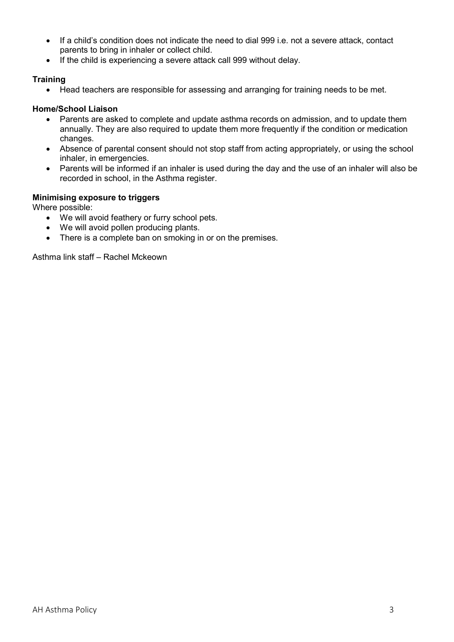- If a child's condition does not indicate the need to dial 999 i.e. not a severe attack, contact parents to bring in inhaler or collect child.
- If the child is experiencing a severe attack call 999 without delay.

# **Training**

Head teachers are responsible for assessing and arranging for training needs to be met.

### Home/School Liaison

- Parents are asked to complete and update asthma records on admission, and to update them annually. They are also required to update them more frequently if the condition or medication changes.
- Absence of parental consent should not stop staff from acting appropriately, or using the school inhaler, in emergencies.
- Parents will be informed if an inhaler is used during the day and the use of an inhaler will also be recorded in school, in the Asthma register.

# Minimising exposure to triggers

Where possible:

- We will avoid feathery or furry school pets.
- We will avoid pollen producing plants.
- There is a complete ban on smoking in or on the premises.

Asthma link staff – Rachel Mckeown